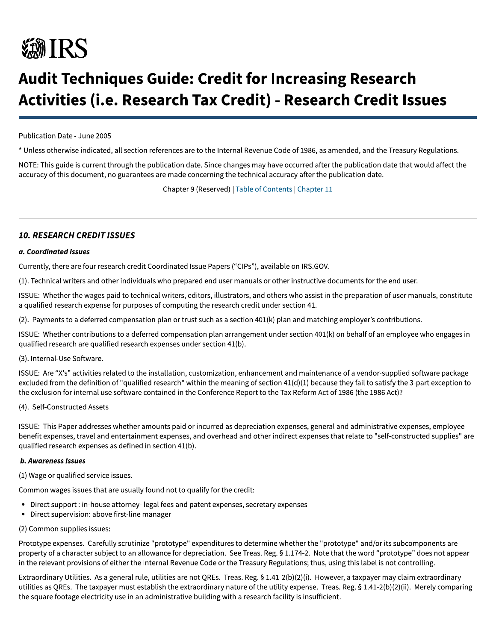# **秘IRS**

## **Audit Techniques Guide: Credit for Increasing Research Activities (i.e. Research Tax Credit) - Research Credit Issues**

Publication Date - June 2005

\* Unless otherwise indicated, all section references are to the Internal Revenue Code of 1986, as amended, and the Treasury Regulations.

NOTE: This guide is current through the publication date. Since changes may have occurred after the publication date that would affect the accuracy of this document, no guarantees are made concerning the technical accuracy after the publication date.

Chapter 9 (Reserved) | Table of Contents | Chapter 11

### **10. RESEARCH CREDIT ISSUES**

#### a. Coordinated Issues

Currently, there are four research credit Coordinated Issue Papers ("CIPs"), available on IRS.GOV.

(1). Technical writers and other individuals who prepared end user manuals or other instructive documents for the end user.

ISSUE: Whether the wages paid to technical writers, editors, illustrators, and others who assist in the preparation of user manuals, constitute a qualified research expense for purposes of computing the research credit under section 41.

(2). Payments to a deferred compensation plan or trust such as a section 401(k) plan and matching employer's contributions.

ISSUE: Whether contributions to a deferred compensation plan arrangement under section 401(k) on behalf of an employee who engages in qualified research are qualified research expenses under section 41(b).

#### (3). Internal-Use Software.

ISSUE: Are "X's" activities related to the installation, customization, enhancement and maintenance of a vendor-supplied software package excluded from the definition of "qualified research" within the meaning of section 41(d)(1) because they fail to satisfy the 3-part exception to the exclusion for internal use software contained in the Conference Report to the Tax Reform Act of 1986 (the 1986 Act)?

#### (4). Self-Constructed Assets

ISSUE: This Paper addresses whether amounts paid or incurred as depreciation expenses, general and administrative expenses, employee benefit expenses, travel and entertainment expenses, and overhead and other indirect expenses that relate to "self-constructed supplies" are qualified research expenses as defined in section 41(b).

#### **b. Awareness Issues**

(1) Wage or qualified service issues.

Common wages issues that are usually found not to qualify for the credit:

- Direct support : in-house attorney- legal fees and patent expenses, secretary expenses
- Direct supervision: above first-line manager

#### (2) Common supplies issues:

Prototype expenses. Carefully scrutinize "prototype" expenditures to determine whether the "prototype" and/or its subcomponents are property of a character subject to an allowance for depreciation. See Treas. Reg. § 1.174-2. Note that the word "prototype" does not appear in the relevant provisions of either the Internal Revenue Code or the Treasury Regulations; thus, using this label is not controlling.

Extraordinary Utilities. As a general rule, utilities are not QREs. Treas. Reg. § 1.41-2(b)(2)(i). However, a taxpayer may claim extraordinary utilities as QREs. The taxpayer must establish the extraordinary nature of the utility expense. Treas. Reg. § 1.41-2(b)(2)(ii). Merely comparing the square footage electricity use in an administrative building with a research facility is insufficient.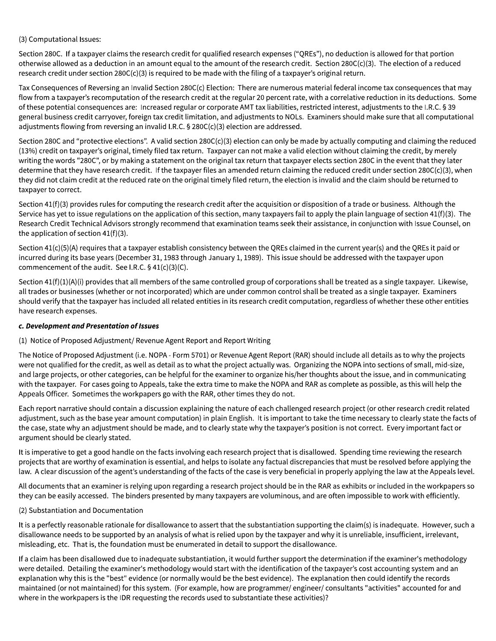(3) Computational Issues:

Section 280C. If a taxpayer claims the research credit for qualified research expenses ("QREs"), no deduction is allowed for that portion otherwise allowed as a deduction in an amount equal to the amount of the research credit. Section 280C(c)(3). The election of a reduced research credit under section  $280C(c)(3)$  is required to be made with the filing of a taxpayer's original return.

Tax Consequences of Reversing an Invalid Section 280C(c) Election: There are numerous material federal income tax consequences that may flow from a taxpayer's recomputation of the research credit at the regular 20 percent rate, with a correlative reduction in its deductions. Some of these potential consequences are: Increased regular or corporate AMT tax liabilities, restricted interest, adjustments to the I.R.C. § 39 general business credit carryover, foreign tax credit limitation, and adjustments to NOLs. Examiners should make sure that all computational adjustments flowing from reversing an invalid I.R.C. § 280C(c)(3) election are addressed.

Section 280C and "protective elections". A valid section 280C(c)(3) election can only be made by actually computing and claiming the reduced (13%) credit on taxpayer's original, timely filed tax return. Taxpayer can not make a valid election without claiming the credit, by merely writing the words "280C", or by making a statement on the original tax return that taxpayer elects section 280C in the event that they later determine that they have research credit. If the taxpayer files an amended return claiming the reduced credit under section 280C(c)(3), when they did not claim credit at the reduced rate on the original timely filed return, the election is invalid and the claim should be returned to taxpayer to correct.

Section 41(f)(3) provides rules for computing the research credit after the acquisition or disposition of a trade or business. Although the Service has yet to issue regulations on the application of this section, many taxpayers fail to apply the plain language of section 41(f)(3). The Research Credit Technical Advisors strongly recommend that examination teams seek their assistance, in conjunction with Issue Counsel, on the application of section  $41(f)(3)$ .

Section 41(c)(5)(A) requires that a taxpayer establish consistency between the QREs claimed in the current year(s) and the QREs it paid or incurred during its base years (December 31, 1983 through January 1, 1989). This issue should be addressed with the taxpayer upon commencement of the audit. See I.R.C. § 41(c)(3)(C).

Section  $41(f)(1)(A)(i)$  provides that all members of the same controlled group of corporations shall be treated as a single taxpayer. Likewise, all trades or businesses (whether or not incorporated) which are under common control shall be treated as a single taxpayer. Examiners should verify that the taxpayer has included all related entities in its research credit computation, regardless of whether these other entities have research expenses.

#### c. Development and Presentation of Issues

(1) Notice of Proposed Adjustment/ Revenue Agent Report and Report Writing

The Notice of Proposed Adjustment (i.e. NOPA - Form 5701) or Revenue Agent Report (RAR) should include all details as to why the projects were not qualified for the credit, as well as detail as to what the project actually was. Organizing the NOPA into sections of small, mid-size, and large projects, or other categories, can be helpful for the examiner to organize his/her thoughts about the issue, and in communicating with the taxpayer. For cases going to Appeals, take the extra time to make the NOPA and RAR as complete as possible, as this will help the Appeals Officer. Sometimes the workpapers go with the RAR, other times they do not.

Each report narrative should contain a discussion explaining the nature of each challenged research project (or other research credit related adjustment, such as the base year amount computation) in plain English. It is important to take the time necessary to clearly state the facts of the case, state why an adjustment should be made, and to clearly state why the taxpayer's position is not correct. Every important fact or argument should be clearly stated.

It is imperative to get a good handle on the facts involving each research project that is disallowed. Spending time reviewing the research projects that are worthy of examination is essential, and helps to isolate any factual discrepancies that must be resolved before applying the law. A clear discussion of the agent's understanding of the facts of the case is very beneficial in properly applying the law at the Appeals level.

All documents that an examiner is relying upon regarding a research project should be in the RAR as exhibits or included in the workpapers so they can be easily accessed. The binders presented by many taxpayers are voluminous, and are often impossible to work with efficiently.

#### (2) Substantiation and Documentation

It is a perfectly reasonable rationale for disallowance to assert that the substantiation supporting the claim(s) is inadequate. However, such a disallowance needs to be supported by an analysis of what is relied upon by the taxpayer and why it is unreliable, insufficient, irrelevant, misleading, etc. That is, the foundation must be enumerated in detail to support the disallowance.

If a claim has been disallowed due to inadequate substantiation, it would further support the determination if the examiner's methodology were detailed. Detailing the examiner's methodology would start with the identification of the taxpayer's cost accounting system and an explanation why this is the "best" evidence (or normally would be the best evidence). The explanation then could identify the records maintained (or not maintained) for this system. (For example, how are programmer/ engineer/ consultants "activities" accounted for and where in the workpapers is the IDR requesting the records used to substantiate these activities)?